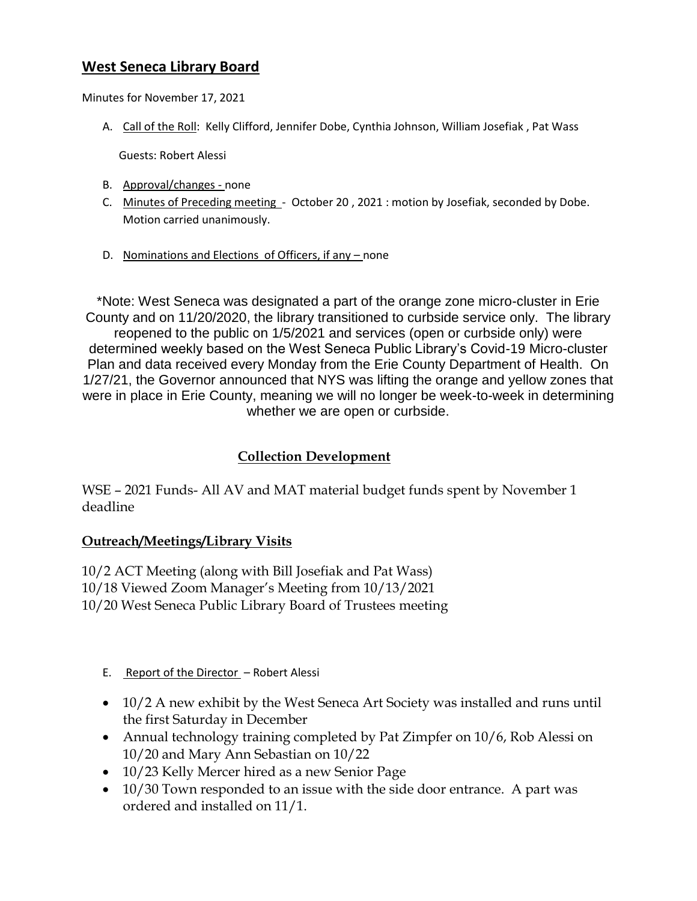## **West Seneca Library Board**

Minutes for November 17, 2021

A. Call of the Roll: Kelly Clifford, Jennifer Dobe, Cynthia Johnson, William Josefiak , Pat Wass

Guests: Robert Alessi

- B. Approval/changes none
- C. Minutes of Preceding meeting October 20, 2021 : motion by Josefiak, seconded by Dobe. Motion carried unanimously.
- D. Nominations and Elections of Officers, if any none

\*Note: West Seneca was designated a part of the orange zone micro-cluster in Erie County and on 11/20/2020, the library transitioned to curbside service only. The library reopened to the public on 1/5/2021 and services (open or curbside only) were determined weekly based on the West Seneca Public Library's Covid-19 Micro-cluster Plan and data received every Monday from the Erie County Department of Health. On 1/27/21, the Governor announced that NYS was lifting the orange and yellow zones that were in place in Erie County, meaning we will no longer be week-to-week in determining whether we are open or curbside.

## **Collection Development**

WSE – 2021 Funds- All AV and MAT material budget funds spent by November 1 deadline

### **Outreach/Meetings/Library Visits**

10/2 ACT Meeting (along with Bill Josefiak and Pat Wass) 10/18 Viewed Zoom Manager's Meeting from 10/13/2021 10/20 West Seneca Public Library Board of Trustees meeting

- E. Report of the Director Robert Alessi
- 10/2 A new exhibit by the West Seneca Art Society was installed and runs until the first Saturday in December
- Annual technology training completed by Pat Zimpfer on 10/6, Rob Alessi on 10/20 and Mary Ann Sebastian on 10/22
- 10/23 Kelly Mercer hired as a new Senior Page
- 10/30 Town responded to an issue with the side door entrance. A part was ordered and installed on 11/1.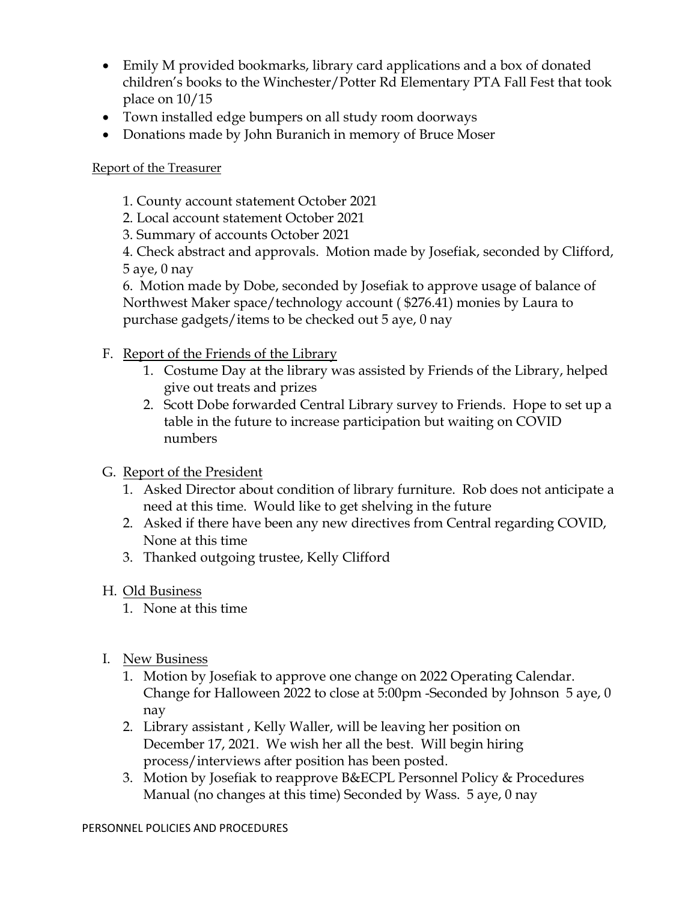- Emily M provided bookmarks, library card applications and a box of donated children's books to the Winchester/Potter Rd Elementary PTA Fall Fest that took place on 10/15
- Town installed edge bumpers on all study room doorways
- Donations made by John Buranich in memory of Bruce Moser

# Report of the Treasurer

- 1. County account statement October 2021
- 2. Local account statement October 2021
- 3. Summary of accounts October 2021

4. Check abstract and approvals. Motion made by Josefiak, seconded by Clifford, 5 aye, 0 nay

6. Motion made by Dobe, seconded by Josefiak to approve usage of balance of Northwest Maker space/technology account ( \$276.41) monies by Laura to purchase gadgets/items to be checked out 5 aye, 0 nay

- F. Report of the Friends of the Library
	- 1. Costume Day at the library was assisted by Friends of the Library, helped give out treats and prizes
	- 2. Scott Dobe forwarded Central Library survey to Friends. Hope to set up a table in the future to increase participation but waiting on COVID numbers
- G. Report of the President
	- 1. Asked Director about condition of library furniture. Rob does not anticipate a need at this time. Would like to get shelving in the future
	- 2. Asked if there have been any new directives from Central regarding COVID, None at this time
	- 3. Thanked outgoing trustee, Kelly Clifford

# H. Old Business

- 1. None at this time
- I. New Business
	- 1. Motion by Josefiak to approve one change on 2022 Operating Calendar. Change for Halloween 2022 to close at 5:00pm -Seconded by Johnson 5 aye, 0 nay
	- 2. Library assistant , Kelly Waller, will be leaving her position on December 17, 2021. We wish her all the best. Will begin hiring process/interviews after position has been posted.
	- 3. Motion by Josefiak to reapprove B&ECPL Personnel Policy & Procedures Manual (no changes at this time) Seconded by Wass. 5 aye, 0 nay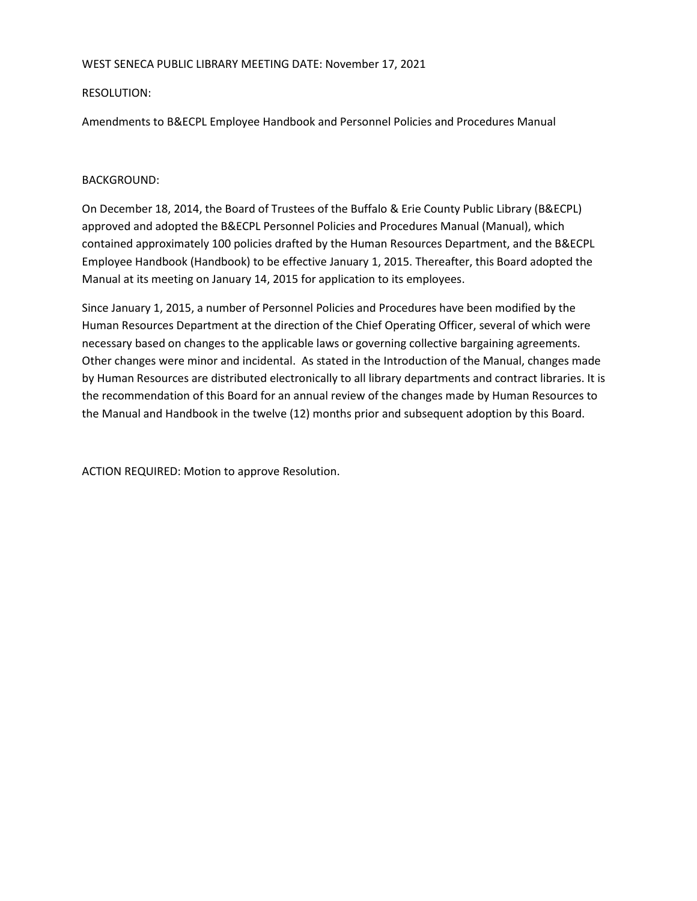#### WEST SENECA PUBLIC LIBRARY MEETING DATE: November 17, 2021

### RESOLUTION:

Amendments to B&ECPL Employee Handbook and Personnel Policies and Procedures Manual

### BACKGROUND:

On December 18, 2014, the Board of Trustees of the Buffalo & Erie County Public Library (B&ECPL) approved and adopted the B&ECPL Personnel Policies and Procedures Manual (Manual), which contained approximately 100 policies drafted by the Human Resources Department, and the B&ECPL Employee Handbook (Handbook) to be effective January 1, 2015. Thereafter, this Board adopted the Manual at its meeting on January 14, 2015 for application to its employees.

Since January 1, 2015, a number of Personnel Policies and Procedures have been modified by the Human Resources Department at the direction of the Chief Operating Officer, several of which were necessary based on changes to the applicable laws or governing collective bargaining agreements. Other changes were minor and incidental. As stated in the Introduction of the Manual, changes made by Human Resources are distributed electronically to all library departments and contract libraries. It is the recommendation of this Board for an annual review of the changes made by Human Resources to the Manual and Handbook in the twelve (12) months prior and subsequent adoption by this Board.

ACTION REQUIRED: Motion to approve Resolution.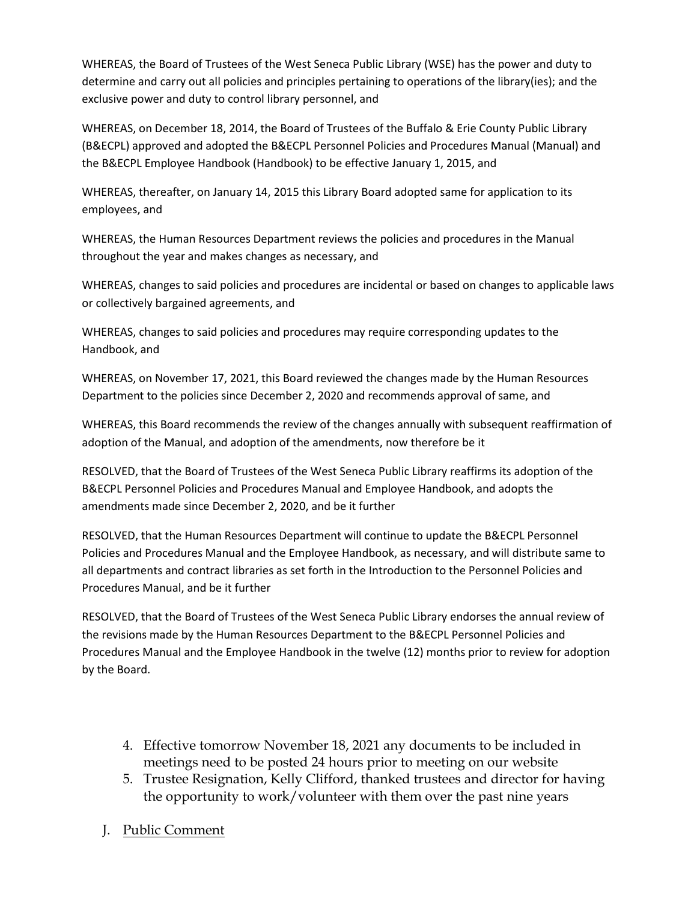WHEREAS, the Board of Trustees of the West Seneca Public Library (WSE) has the power and duty to determine and carry out all policies and principles pertaining to operations of the library(ies); and the exclusive power and duty to control library personnel, and

WHEREAS, on December 18, 2014, the Board of Trustees of the Buffalo & Erie County Public Library (B&ECPL) approved and adopted the B&ECPL Personnel Policies and Procedures Manual (Manual) and the B&ECPL Employee Handbook (Handbook) to be effective January 1, 2015, and

WHEREAS, thereafter, on January 14, 2015 this Library Board adopted same for application to its employees, and

WHEREAS, the Human Resources Department reviews the policies and procedures in the Manual throughout the year and makes changes as necessary, and

WHEREAS, changes to said policies and procedures are incidental or based on changes to applicable laws or collectively bargained agreements, and

WHEREAS, changes to said policies and procedures may require corresponding updates to the Handbook, and

WHEREAS, on November 17, 2021, this Board reviewed the changes made by the Human Resources Department to the policies since December 2, 2020 and recommends approval of same, and

WHEREAS, this Board recommends the review of the changes annually with subsequent reaffirmation of adoption of the Manual, and adoption of the amendments, now therefore be it

RESOLVED, that the Board of Trustees of the West Seneca Public Library reaffirms its adoption of the B&ECPL Personnel Policies and Procedures Manual and Employee Handbook, and adopts the amendments made since December 2, 2020, and be it further

RESOLVED, that the Human Resources Department will continue to update the B&ECPL Personnel Policies and Procedures Manual and the Employee Handbook, as necessary, and will distribute same to all departments and contract libraries as set forth in the Introduction to the Personnel Policies and Procedures Manual, and be it further

RESOLVED, that the Board of Trustees of the West Seneca Public Library endorses the annual review of the revisions made by the Human Resources Department to the B&ECPL Personnel Policies and Procedures Manual and the Employee Handbook in the twelve (12) months prior to review for adoption by the Board.

- 4. Effective tomorrow November 18, 2021 any documents to be included in meetings need to be posted 24 hours prior to meeting on our website
- 5. Trustee Resignation, Kelly Clifford, thanked trustees and director for having the opportunity to work/volunteer with them over the past nine years
- J. Public Comment